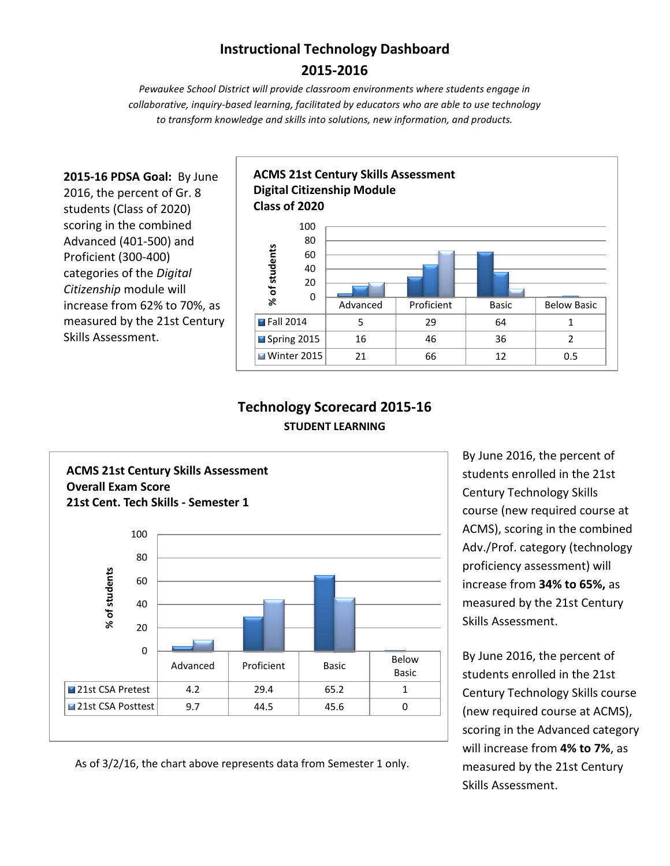## **Instructional Technology Dashboard 2015-2016**

*Pewaukee School District will provide classroom environments where students engage in collaborative, inquiry-based learning, facilitated by educators who are able to use technology to transform knowledge and skills into solutions, new information, and products.*

**2015-16 PDSA Goal:** By June 2016, the percent of Gr. 8 students (Class of 2020) scoring in the combined Advanced (401-500) and Proficient (300-400) categories of the *Digital Citizenship* module will increase from 62% to 70%, as measured by the 21st Century Skills Assessment.



### **Technology Scorecard 2015-16 STUDENT LEARNING**



students enrolled in the 21st Century Technology Skills course (new required course at ACMS), scoring in the combined Adv./Prof. category (technology proficiency assessment) will increase from **34% to 65%,** as measured by the 21st Century Skills Assessment.

By June 2016, the percent of

By June 2016, the percent of students enrolled in the 21st Century Technology Skills course (new required course at ACMS), scoring in the Advanced category will increase from **4% to 7%**, as measured by the 21st Century Skills Assessment.

As of 3/2/16, the chart above represents data from Semester 1 only.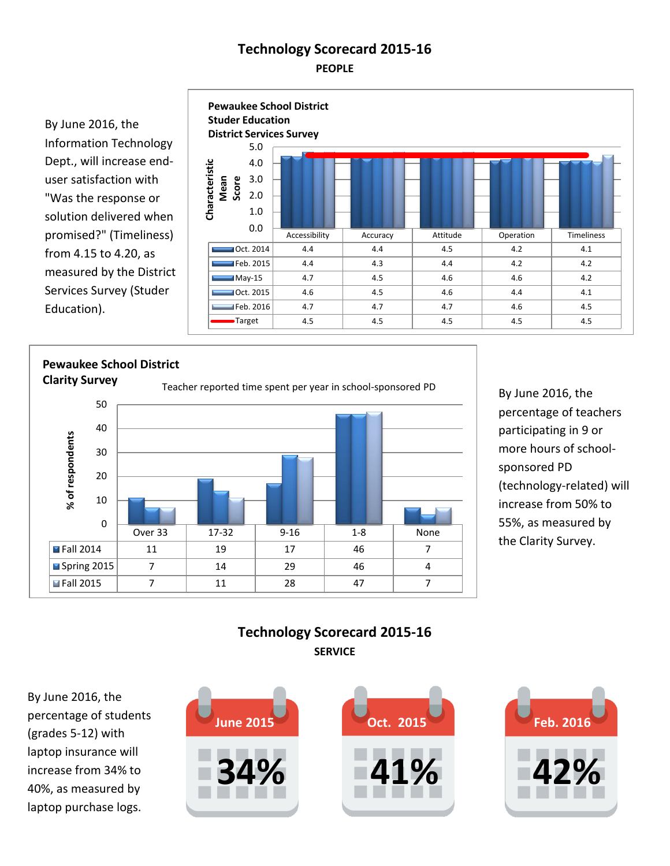## **Technology Scorecard 2015-16 PEOPLE**

By June 2016, the Information Technology Dept., will increase enduser satisfaction with "Was the response or solution delivered when promised?" (Timeliness) from 4.15 to 4.20, as measured by the District Services Survey (Studer Education).



# **Pewaukee School District Clarity Survey**<br>Teacher reported time spent per year in school-sponsored PD



By June 2016, the percentage of teachers participating in 9 or more hours of schoolsponsored PD (technology-related) will increase from 50% to 55%, as measured by the Clarity Survey.

#### **Technology Scorecard 2015-16 SERVICE**

**June 2015**<br>increase from 34% to By June 2016, the percentage of students (grades 5-12) with laptop insurance will 40%, as measured by laptop purchase logs.